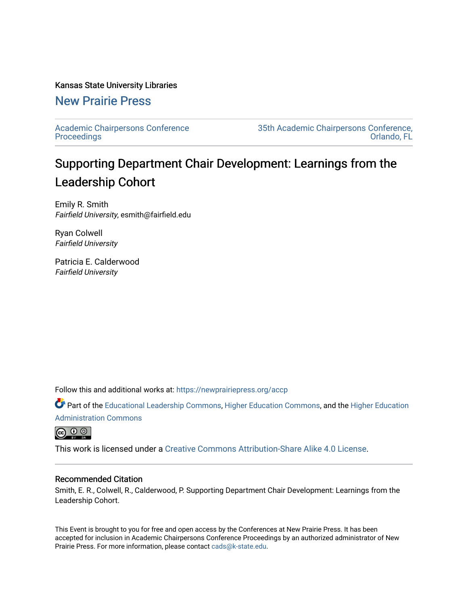#### Kansas State University Libraries

## [New Prairie Press](https://newprairiepress.org/)

[Academic Chairpersons Conference](https://newprairiepress.org/accp)  **Proceedings** 

[35th Academic Chairpersons Conference,](https://newprairiepress.org/accp/2018)  [Orlando, FL](https://newprairiepress.org/accp/2018) 

# Supporting Department Chair Development: Learnings from the Leadership Cohort

Emily R. Smith Fairfield University, esmith@fairfield.edu

Ryan Colwell Fairfield University

Patricia E. Calderwood Fairfield University

Follow this and additional works at: [https://newprairiepress.org/accp](https://newprairiepress.org/accp?utm_source=newprairiepress.org%2Faccp%2F2018%2Fleadership%2F6&utm_medium=PDF&utm_campaign=PDFCoverPages) 

Part of the [Educational Leadership Commons,](http://network.bepress.com/hgg/discipline/1230?utm_source=newprairiepress.org%2Faccp%2F2018%2Fleadership%2F6&utm_medium=PDF&utm_campaign=PDFCoverPages) [Higher Education Commons,](http://network.bepress.com/hgg/discipline/1245?utm_source=newprairiepress.org%2Faccp%2F2018%2Fleadership%2F6&utm_medium=PDF&utm_campaign=PDFCoverPages) and the [Higher Education](http://network.bepress.com/hgg/discipline/791?utm_source=newprairiepress.org%2Faccp%2F2018%2Fleadership%2F6&utm_medium=PDF&utm_campaign=PDFCoverPages) [Administration Commons](http://network.bepress.com/hgg/discipline/791?utm_source=newprairiepress.org%2Faccp%2F2018%2Fleadership%2F6&utm_medium=PDF&utm_campaign=PDFCoverPages) 

 $\bigcirc$   $\bigcirc$   $\bigcirc$ 

This work is licensed under a [Creative Commons Attribution-Share Alike 4.0 License.](https://creativecommons.org/licenses/by-sa/4.0/)

#### Recommended Citation

Smith, E. R., Colwell, R., Calderwood, P. Supporting Department Chair Development: Learnings from the Leadership Cohort.

This Event is brought to you for free and open access by the Conferences at New Prairie Press. It has been accepted for inclusion in Academic Chairpersons Conference Proceedings by an authorized administrator of New Prairie Press. For more information, please contact [cads@k-state.edu.](mailto:cads@k-state.edu)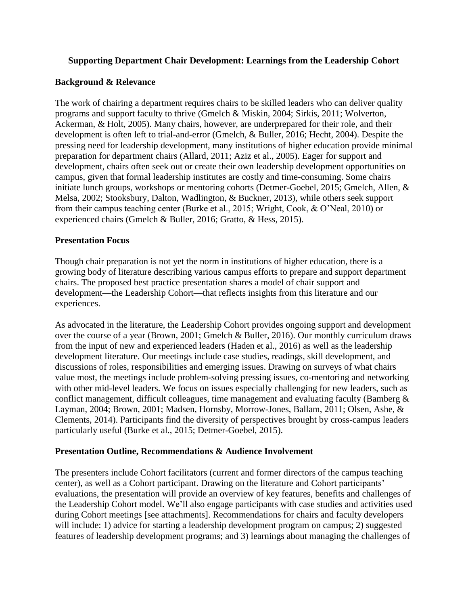## **Supporting Department Chair Development: Learnings from the Leadership Cohort**

## **Background & Relevance**

The work of chairing a department requires chairs to be skilled leaders who can deliver quality programs and support faculty to thrive (Gmelch & Miskin, 2004; Sirkis, 2011; Wolverton, Ackerman, & Holt, 2005). Many chairs, however, are underprepared for their role, and their development is often left to trial-and-error (Gmelch, & Buller, 2016; Hecht, 2004). Despite the pressing need for leadership development, many institutions of higher education provide minimal preparation for department chairs (Allard, 2011; Aziz et al., 2005). Eager for support and development, chairs often seek out or create their own leadership development opportunities on campus, given that formal leadership institutes are costly and time-consuming. Some chairs initiate lunch groups, workshops or mentoring cohorts (Detmer-Goebel, 2015; Gmelch, Allen, & Melsa, 2002; Stooksbury, Dalton, Wadlington, & Buckner, 2013), while others seek support from their campus teaching center (Burke et al., 2015; Wright, Cook, & O'Neal, 2010) or experienced chairs (Gmelch & Buller, 2016; Gratto, & Hess, 2015).

### **Presentation Focus**

Though chair preparation is not yet the norm in institutions of higher education, there is a growing body of literature describing various campus efforts to prepare and support department chairs. The proposed best practice presentation shares a model of chair support and development—the Leadership Cohort—that reflects insights from this literature and our experiences.

As advocated in the literature, the Leadership Cohort provides ongoing support and development over the course of a year (Brown, 2001; Gmelch & Buller, 2016). Our monthly curriculum draws from the input of new and experienced leaders (Haden et al., 2016) as well as the leadership development literature. Our meetings include case studies, readings, skill development, and discussions of roles, responsibilities and emerging issues. Drawing on surveys of what chairs value most, the meetings include problem-solving pressing issues, co-mentoring and networking with other mid-level leaders. We focus on issues especially challenging for new leaders, such as conflict management, difficult colleagues, time management and evaluating faculty (Bamberg & Layman, 2004; Brown, 2001; Madsen, Hornsby, Morrow-Jones, Ballam, 2011; Olsen, Ashe, & Clements, 2014). Participants find the diversity of perspectives brought by cross-campus leaders particularly useful (Burke et al., 2015; Detmer-Goebel, 2015).

### **Presentation Outline, Recommendations & Audience Involvement**

The presenters include Cohort facilitators (current and former directors of the campus teaching center), as well as a Cohort participant. Drawing on the literature and Cohort participants' evaluations, the presentation will provide an overview of key features, benefits and challenges of the Leadership Cohort model. We'll also engage participants with case studies and activities used during Cohort meetings [see attachments]. Recommendations for chairs and faculty developers will include: 1) advice for starting a leadership development program on campus; 2) suggested features of leadership development programs; and 3) learnings about managing the challenges of